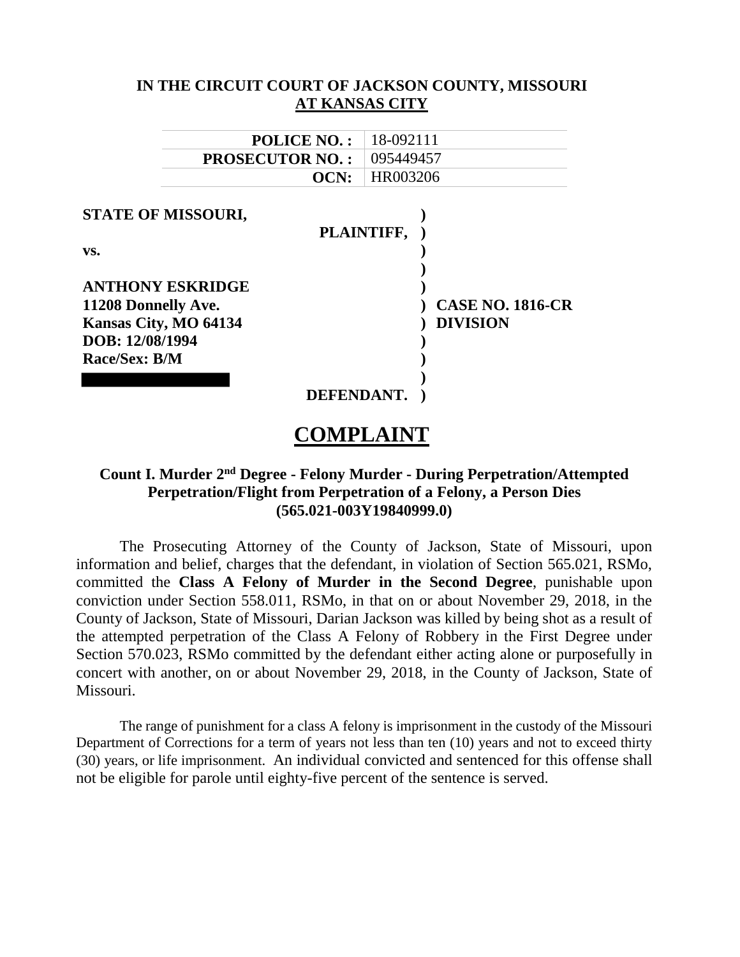| IN THE CIRCUIT COURT OF JACKSON COUNTY, MISSOURI<br>AT KANSAS CITY |                         |
|--------------------------------------------------------------------|-------------------------|
|                                                                    |                         |
| <b>PROSECUTOR NO.:</b>                                             | 095449457               |
| OCN:                                                               | HR003206                |
| <b>STATE OF MISSOURI,</b>                                          |                         |
|                                                                    | PLAINTIFF,              |
| VS.                                                                |                         |
|                                                                    |                         |
| <b>ANTHONY ESKRIDGE</b>                                            |                         |
| 11208 Donnelly Ave.                                                | <b>CASE NO. 1816-CR</b> |
| Kansas City, MO 64134                                              | <b>DIVISION</b>         |
| DOB: 12/08/1994                                                    |                         |
| Race/Sex: B/M                                                      |                         |
|                                                                    |                         |
| <b>DEFENDANT.</b>                                                  |                         |

# **COMPLAINT**

## **Count I. Murder 2nd Degree - Felony Murder - During Perpetration/Attempted Perpetration/Flight from Perpetration of a Felony, a Person Dies (565.021-003Y19840999.0)**

The Prosecuting Attorney of the County of Jackson, State of Missouri, upon information and belief, charges that the defendant, in violation of Section 565.021, RSMo, committed the **Class A Felony of Murder in the Second Degree**, punishable upon conviction under Section 558.011, RSMo, in that on or about November 29, 2018, in the County of Jackson, State of Missouri, Darian Jackson was killed by being shot as a result of the attempted perpetration of the Class A Felony of Robbery in the First Degree under Section 570.023, RSMo committed by the defendant either acting alone or purposefully in concert with another, on or about November 29, 2018, in the County of Jackson, State of Missouri.

The range of punishment for a class A felony is imprisonment in the custody of the Missouri Department of Corrections for a term of years not less than ten (10) years and not to exceed thirty (30) years, or life imprisonment. An individual convicted and sentenced for this offense shall not be eligible for parole until eighty-five percent of the sentence is served.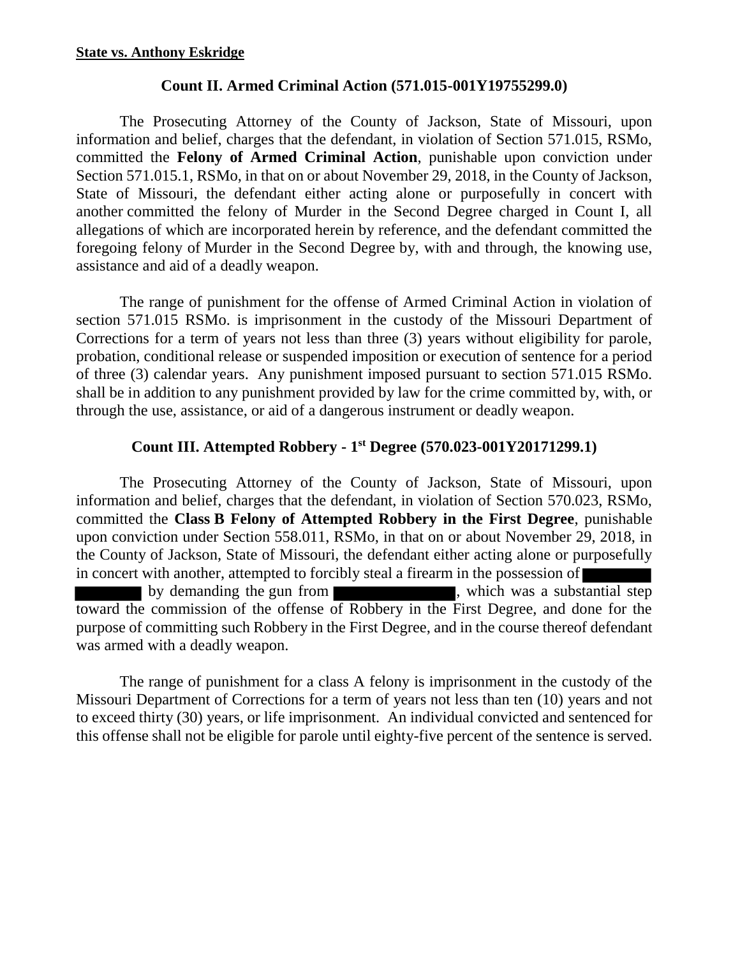#### **Count II. Armed Criminal Action (571.015-001Y19755299.0)**

The Prosecuting Attorney of the County of Jackson, State of Missouri, upon information and belief, charges that the defendant, in violation of Section 571.015, RSMo, committed the **Felony of Armed Criminal Action**, punishable upon conviction under Section 571.015.1, RSMo, in that on or about November 29, 2018, in the County of Jackson, State of Missouri, the defendant either acting alone or purposefully in concert with another committed the felony of Murder in the Second Degree charged in Count I, all allegations of which are incorporated herein by reference, and the defendant committed the foregoing felony of Murder in the Second Degree by, with and through, the knowing use, assistance and aid of a deadly weapon.

The range of punishment for the offense of Armed Criminal Action in violation of section 571.015 RSMo. is imprisonment in the custody of the Missouri Department of Corrections for a term of years not less than three (3) years without eligibility for parole, probation, conditional release or suspended imposition or execution of sentence for a period of three (3) calendar years. Any punishment imposed pursuant to section 571.015 RSMo. shall be in addition to any punishment provided by law for the crime committed by, with, or through the use, assistance, or aid of a dangerous instrument or deadly weapon.

## **Count III. Attempted Robbery - 1st Degree (570.023-001Y20171299.1)**

The Prosecuting Attorney of the County of Jackson, State of Missouri, upon information and belief, charges that the defendant, in violation of Section 570.023, RSMo, committed the **Class B Felony of Attempted Robbery in the First Degree**, punishable upon conviction under Section 558.011, RSMo, in that on or about November 29, 2018, in the County of Jackson, State of Missouri, the defendant either acting alone or purposefully in concert with another, attempted to forcibly steal a firearm in the possession of by demanding the gun from , which was a substantial step toward the commission of the offense of Robbery in the First Degree, and done for the purpose of committing such Robbery in the First Degree, and in the course thereof defendant was armed with a deadly weapon.

The range of punishment for a class A felony is imprisonment in the custody of the Missouri Department of Corrections for a term of years not less than ten (10) years and not to exceed thirty (30) years, or life imprisonment. An individual convicted and sentenced for this offense shall not be eligible for parole until eighty-five percent of the sentence is served.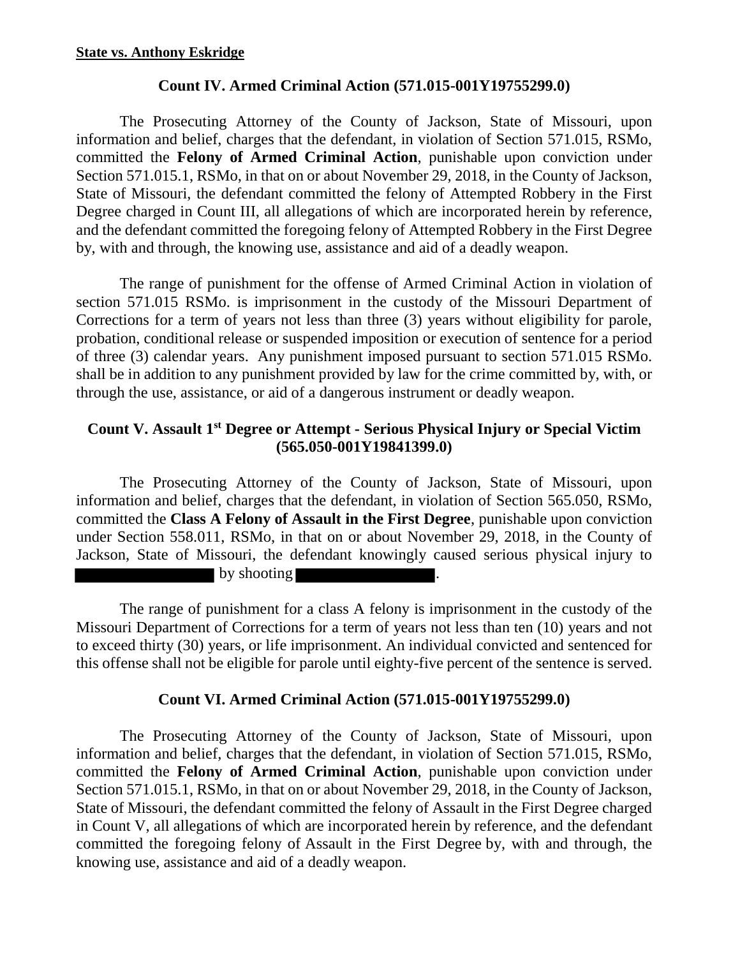#### **Count IV. Armed Criminal Action (571.015-001Y19755299.0)**

The Prosecuting Attorney of the County of Jackson, State of Missouri, upon information and belief, charges that the defendant, in violation of Section 571.015, RSMo, committed the **Felony of Armed Criminal Action**, punishable upon conviction under Section 571.015.1, RSMo, in that on or about November 29, 2018, in the County of Jackson, State of Missouri, the defendant committed the felony of Attempted Robbery in the First Degree charged in Count III, all allegations of which are incorporated herein by reference, and the defendant committed the foregoing felony of Attempted Robbery in the First Degree by, with and through, the knowing use, assistance and aid of a deadly weapon.

The range of punishment for the offense of Armed Criminal Action in violation of section 571.015 RSMo. is imprisonment in the custody of the Missouri Department of Corrections for a term of years not less than three (3) years without eligibility for parole, probation, conditional release or suspended imposition or execution of sentence for a period of three (3) calendar years. Any punishment imposed pursuant to section 571.015 RSMo. shall be in addition to any punishment provided by law for the crime committed by, with, or through the use, assistance, or aid of a dangerous instrument or deadly weapon.

## **Count V. Assault 1st Degree or Attempt - Serious Physical Injury or Special Victim (565.050-001Y19841399.0)**

The Prosecuting Attorney of the County of Jackson, State of Missouri, upon information and belief, charges that the defendant, in violation of Section 565.050, RSMo, committed the **Class A Felony of Assault in the First Degree**, punishable upon conviction under Section 558.011, RSMo, in that on or about November 29, 2018, in the County of Jackson, State of Missouri, the defendant knowingly caused serious physical injury to **by shooting** 

The range of punishment for a class A felony is imprisonment in the custody of the Missouri Department of Corrections for a term of years not less than ten (10) years and not to exceed thirty (30) years, or life imprisonment. An individual convicted and sentenced for this offense shall not be eligible for parole until eighty-five percent of the sentence is served.

## **Count VI. Armed Criminal Action (571.015-001Y19755299.0)**

The Prosecuting Attorney of the County of Jackson, State of Missouri, upon information and belief, charges that the defendant, in violation of Section 571.015, RSMo, committed the **Felony of Armed Criminal Action**, punishable upon conviction under Section 571.015.1, RSMo, in that on or about November 29, 2018, in the County of Jackson, State of Missouri, the defendant committed the felony of Assault in the First Degree charged in Count V, all allegations of which are incorporated herein by reference, and the defendant committed the foregoing felony of Assault in the First Degree by, with and through, the knowing use, assistance and aid of a deadly weapon.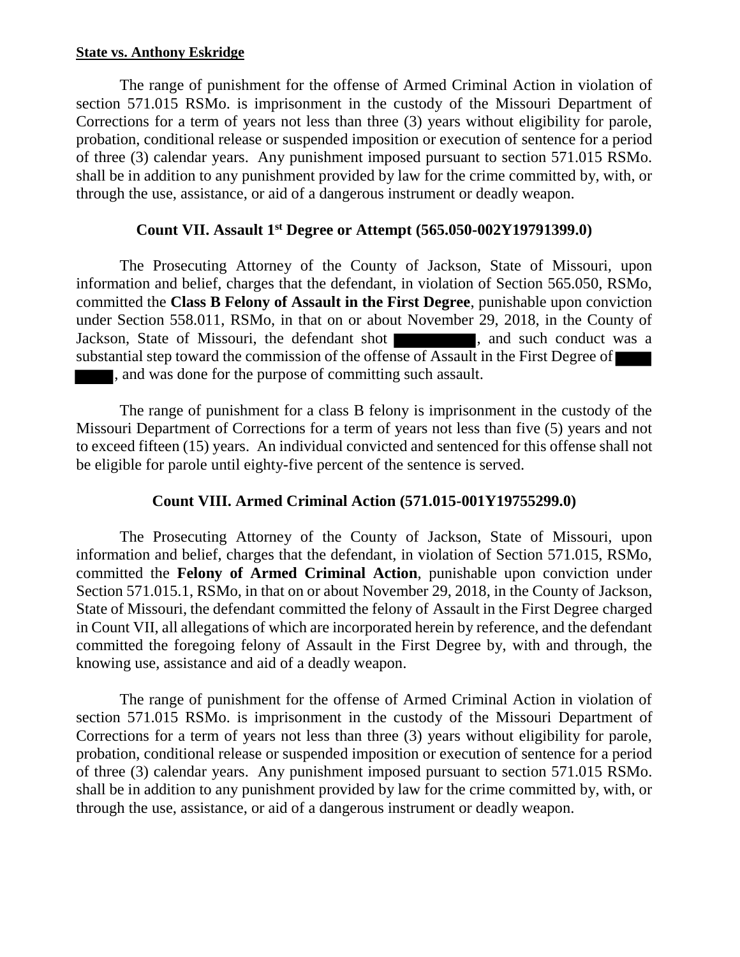#### **State vs. Anthony Eskridge**

The range of punishment for the offense of Armed Criminal Action in violation of section 571.015 RSMo. is imprisonment in the custody of the Missouri Department of Corrections for a term of years not less than three (3) years without eligibility for parole, probation, conditional release or suspended imposition or execution of sentence for a period of three (3) calendar years. Any punishment imposed pursuant to section 571.015 RSMo. shall be in addition to any punishment provided by law for the crime committed by, with, or through the use, assistance, or aid of a dangerous instrument or deadly weapon.

#### **Count VII. Assault 1st Degree or Attempt (565.050-002Y19791399.0)**

The Prosecuting Attorney of the County of Jackson, State of Missouri, upon information and belief, charges that the defendant, in violation of Section 565.050, RSMo, committed the **Class B Felony of Assault in the First Degree**, punishable upon conviction under Section 558.011, RSMo, in that on or about November 29, 2018, in the County of Jackson, State of Missouri, the defendant shot **1996**, and such conduct was a substantial step toward the commission of the offense of Assault in the First Degree of , and was done for the purpose of committing such assault.

The range of punishment for a class B felony is imprisonment in the custody of the Missouri Department of Corrections for a term of years not less than five (5) years and not to exceed fifteen (15) years. An individual convicted and sentenced for this offense shall not be eligible for parole until eighty-five percent of the sentence is served.

## **Count VIII. Armed Criminal Action (571.015-001Y19755299.0)**

The Prosecuting Attorney of the County of Jackson, State of Missouri, upon information and belief, charges that the defendant, in violation of Section 571.015, RSMo, committed the **Felony of Armed Criminal Action**, punishable upon conviction under Section 571.015.1, RSMo, in that on or about November 29, 2018, in the County of Jackson, State of Missouri, the defendant committed the felony of Assault in the First Degree charged in Count VII, all allegations of which are incorporated herein by reference, and the defendant committed the foregoing felony of Assault in the First Degree by, with and through, the knowing use, assistance and aid of a deadly weapon.

The range of punishment for the offense of Armed Criminal Action in violation of section 571.015 RSMo. is imprisonment in the custody of the Missouri Department of Corrections for a term of years not less than three (3) years without eligibility for parole, probation, conditional release or suspended imposition or execution of sentence for a period of three (3) calendar years. Any punishment imposed pursuant to section 571.015 RSMo. shall be in addition to any punishment provided by law for the crime committed by, with, or through the use, assistance, or aid of a dangerous instrument or deadly weapon.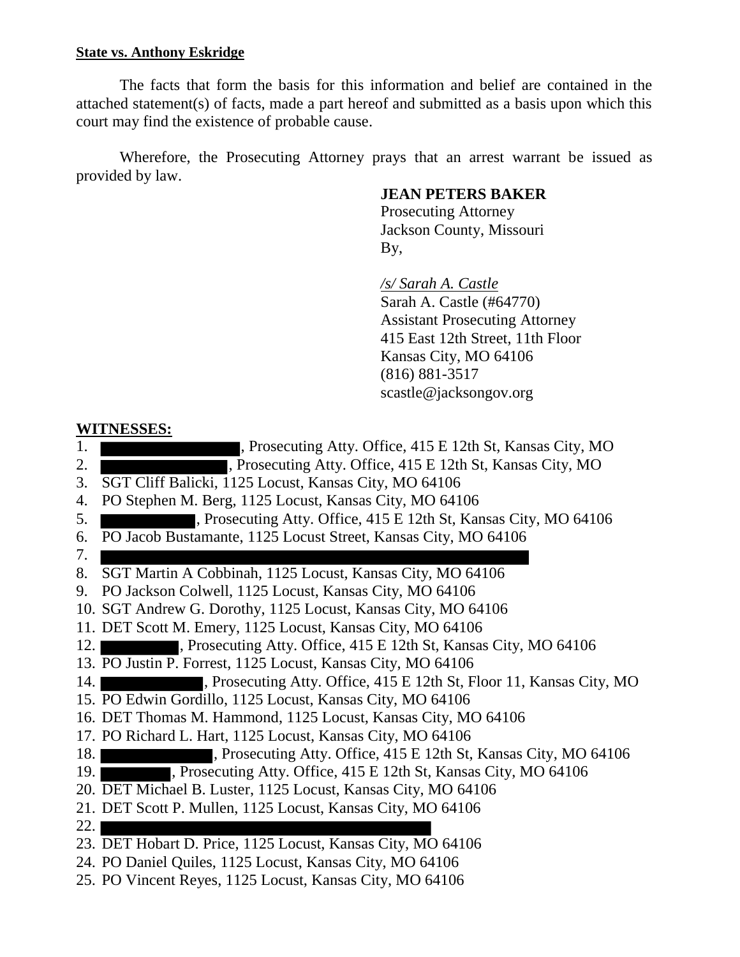#### **State vs. Anthony Eskridge**

The facts that form the basis for this information and belief are contained in the attached statement(s) of facts, made a part hereof and submitted as a basis upon which this court may find the existence of probable cause.

Wherefore, the Prosecuting Attorney prays that an arrest warrant be issued as provided by law.

#### **JEAN PETERS BAKER**

 Prosecuting Attorney Jackson County, Missouri By,

> */s/ Sarah A. Castle* Sarah A. Castle (#64770) Assistant Prosecuting Attorney 415 East 12th Street, 11th Floor Kansas City, MO 64106 (816) 881-3517 scastle@jacksongov.org

#### **WITNESSES:**

- 1. The Prosecuting Atty. Office, 415 E 12th St, Kansas City, MO
- 2. **The Example 2. Security.** Prosecuting Atty. Office, 415 E 12th St, Kansas City, MO
- 3. SGT Cliff Balicki, 1125 Locust, Kansas City, MO 64106
- 4. PO Stephen M. Berg, 1125 Locust, Kansas City, MO 64106
- 5. , Prosecuting Atty. Office, 415 E 12th St, Kansas City, MO 64106
- 6. PO Jacob Bustamante, 1125 Locust Street, Kansas City, MO 64106
- 7.
- 8. SGT Martin A Cobbinah, 1125 Locust, Kansas City, MO 64106
- 9. PO Jackson Colwell, 1125 Locust, Kansas City, MO 64106
- 10. SGT Andrew G. Dorothy, 1125 Locust, Kansas City, MO 64106
- 11. DET Scott M. Emery, 1125 Locust, Kansas City, MO 64106
- 12. , Prosecuting Atty. Office, 415 E 12th St, Kansas City, MO 64106
- 13. PO Justin P. Forrest, 1125 Locust, Kansas City, MO 64106
- 14. The secretion of the Atty. Office, 415 E 12th St, Floor 11, Kansas City, MO
- 15. PO Edwin Gordillo, 1125 Locust, Kansas City, MO 64106
- 16. DET Thomas M. Hammond, 1125 Locust, Kansas City, MO 64106
- 17. PO Richard L. Hart, 1125 Locust, Kansas City, MO 64106
- 18. The Prosecuting Atty. Office, 415 E 12th St, Kansas City, MO 64106
- 19. , Prosecuting Atty. Office, 415 E 12th St, Kansas City, MO 64106
- 20. DET Michael B. Luster, 1125 Locust, Kansas City, MO 64106
- 21. DET Scott P. Mullen, 1125 Locust, Kansas City, MO 64106
- $22.1$
- 23. DET Hobart D. Price, 1125 Locust, Kansas City, MO 64106
- 24. PO Daniel Quiles, 1125 Locust, Kansas City, MO 64106
- 25. PO Vincent Reyes, 1125 Locust, Kansas City, MO 64106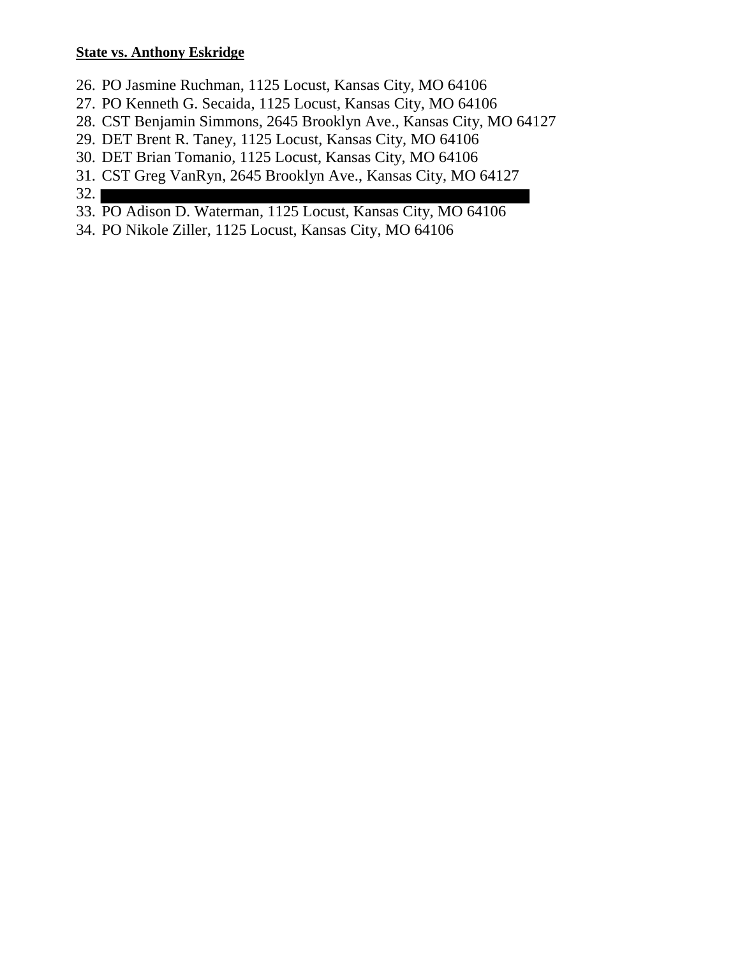#### **State vs. Anthony Eskridge**

- 26. PO Jasmine Ruchman, 1125 Locust, Kansas City, MO 64106
- 27. PO Kenneth G. Secaida, 1125 Locust, Kansas City, MO 64106
- 28. CST Benjamin Simmons, 2645 Brooklyn Ave., Kansas City, MO 64127
- 29. DET Brent R. Taney, 1125 Locust, Kansas City, MO 64106
- 30. DET Brian Tomanio, 1125 Locust, Kansas City, MO 64106
- 31. CST Greg VanRyn, 2645 Brooklyn Ave., Kansas City, MO 64127
- 32.
- 33. PO Adison D. Waterman, 1125 Locust, Kansas City, MO 64106
- 34. PO Nikole Ziller, 1125 Locust, Kansas City, MO 64106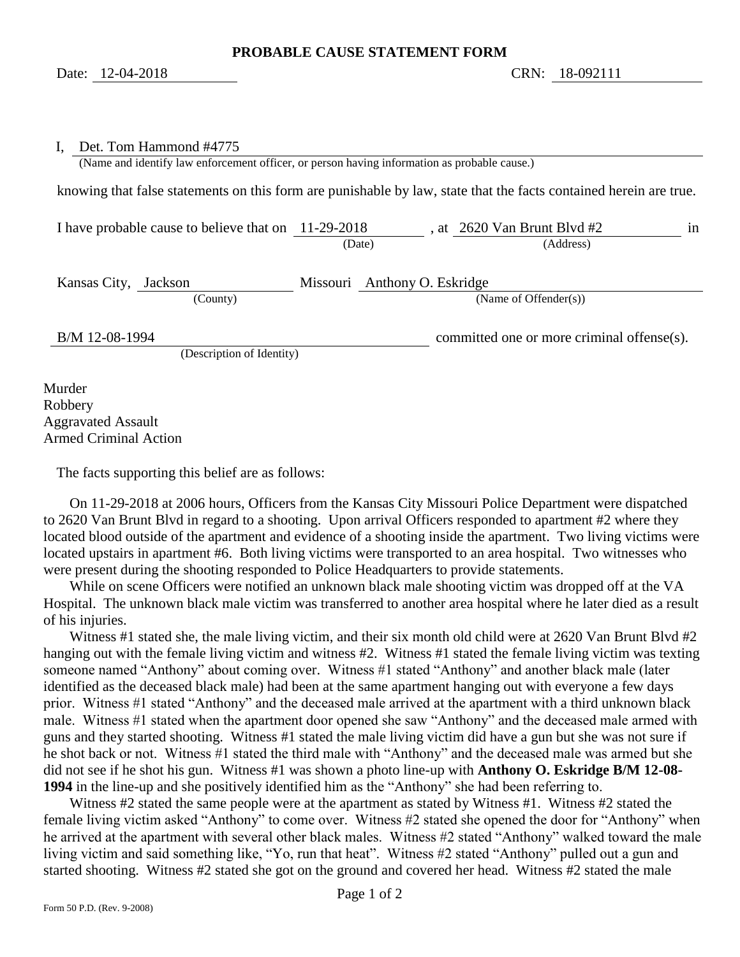#### I, Det. Tom Hammond #4775

(Name and identify law enforcement officer, or person having information as probable cause.)

knowing that false statements on this form are punishable by law, state that the facts contained herein are true.

I have probable cause to believe that on 11-29-2018, at 2620 Van Brunt Blvd #2 in (Date) (Address)

Kansas City, Jackson Missouri Anthony O. Eskridge (County) (Name of Offender(s))

B/M 12-08-1994 committed one or more criminal offense(s).

<span id="page-6-1"></span><span id="page-6-0"></span>(Description of Identity)

Murder Robbery Aggravated Assault Armed Criminal Action

The facts supporting this belief are as follows:

On 11-29-2018 at 2006 hours, Officers from the Kansas City Missouri Police Department were dispatched to 2620 Van Brunt Blvd in regard to a shooting. Upon arrival Officers responded to apartment #2 where they located blood outside of the apartment and evidence of a shooting inside the apartment. Two living victims were located upstairs in apartment #6. Both living victims were transported to an area hospital. Two witnesses who were present during the shooting responded to Police Headquarters to provide statements.

While on scene Officers were notified an unknown black male shooting victim was dropped off at the VA Hospital. The unknown black male victim was transferred to another area hospital where he later died as a result of his injuries.

Witness #1 stated she, the male living victim, and their six month old child were at 2620 Van Brunt Blvd #2 hanging out with the female living victim and witness #2. Witness #1 stated the female living victim was texting someone named "Anthony" about coming over. Witness #1 stated "Anthony" and another black male (later identified as the deceased black male) had been at the same apartment hanging out with everyone a few days prior. Witness #1 stated "Anthony" and the deceased male arrived at the apartment with a third unknown black male. Witness #1 stated when the apartment door opened she saw "Anthony" and the deceased male armed with guns and they started shooting. Witness #1 stated the male living victim did have a gun but she was not sure if he shot back or not. Witness #1 stated the third male with "Anthony" and the deceased male was armed but she did not see if he shot his gun. Witness #1 was shown a photo line-up with **Anthony O. Eskridge B/M 12-08- 1994** in the line-up and she positively identified him as the "Anthony" she had been referring to.

Witness #2 stated the same people were at the apartment as stated by Witness #1. Witness #2 stated the female living victim asked "Anthony" to come over. Witness #2 stated she opened the door for "Anthony" when he arrived at the apartment with several other black males. Witness #2 stated "Anthony" walked toward the male living victim and said something like, "Yo, run that heat". Witness #2 stated "Anthony" pulled out a gun and started shooting. Witness #2 stated she got on the ground and covered her head. Witness #2 stated the male